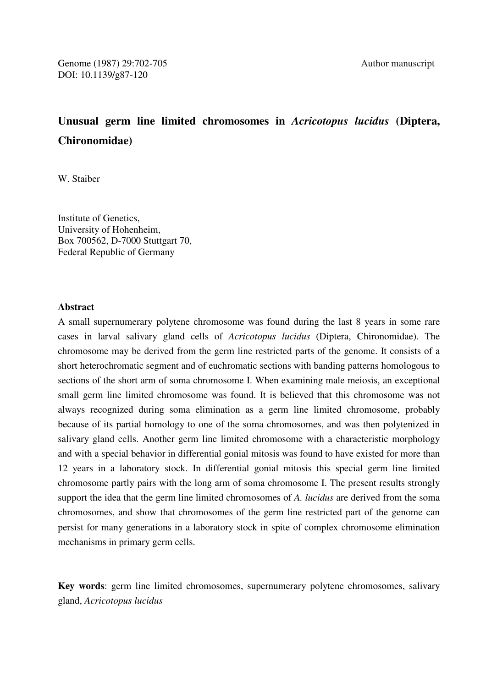# **Unusual germ line limited chromosomes in** *Acricotopus lucidus* **(Diptera, Chironomidae)**

W. Staiber

Institute of Genetics, University of Hohenheim, Box 700562, D-7000 Stuttgart 70, Federal Republic of Germany

## **Abstract**

A small supernumerary polytene chromosome was found during the last 8 years in some rare cases in larval salivary gland cells of *Acricotopus lucidus* (Diptera, Chironomidae). The chromosome may be derived from the germ line restricted parts of the genome. It consists of a short heterochromatic segment and of euchromatic sections with banding patterns homologous to sections of the short arm of soma chromosome I. When examining male meiosis, an exceptional small germ line limited chromosome was found. It is believed that this chromosome was not always recognized during soma elimination as a germ line limited chromosome, probably because of its partial homology to one of the soma chromosomes, and was then polytenized in salivary gland cells. Another germ line limited chromosome with a characteristic morphology and with a special behavior in differential gonial mitosis was found to have existed for more than 12 years in a laboratory stock. In differential gonial mitosis this special germ line limited chromosome partly pairs with the long arm of soma chromosome I. The present results strongly support the idea that the germ line limited chromosomes of *A. lucidus* are derived from the soma chromosomes, and show that chromosomes of the germ line restricted part of the genome can persist for many generations in a laboratory stock in spite of complex chromosome elimination mechanisms in primary germ cells.

**Key words**: germ line limited chromosomes, supernumerary polytene chromosomes, salivary gland, *Acricotopus lucidus*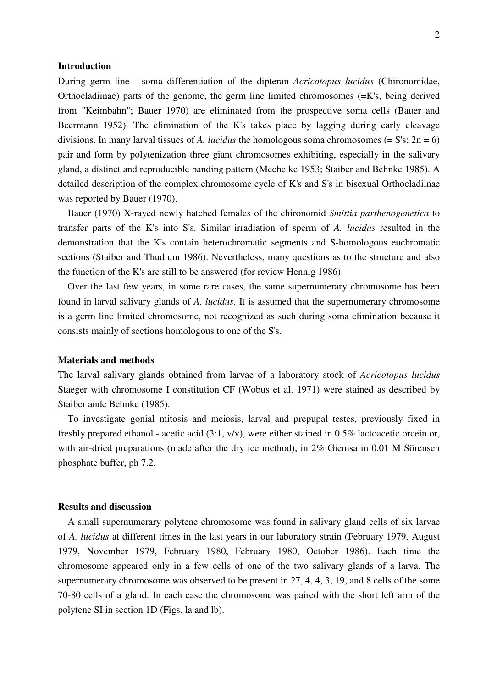### **Introduction**

During germ line - soma differentiation of the dipteran *Acricotopus lucidus* (Chironomidae, Orthocladiinae) parts of the genome, the germ line limited chromosomes  $(=K)$ s, being derived from "Keimbahn"; Bauer 1970) are eliminated from the prospective soma cells (Bauer and Beermann 1952). The elimination of the K's takes place by lagging during early cleavage divisions. In many larval tissues of *A. lucidus* the homologous soma chromosomes  $(= S's; 2n = 6)$ pair and form by polytenization three giant chromosomes exhibiting, especially in the salivary gland, a distinct and reproducible banding pattern (Mechelke 1953; Staiber and Behnke 1985). A detailed description of the complex chromosome cycle of K's and S's in bisexual Orthocladiinae was reported by Bauer (1970).

 Bauer (1970) X-rayed newly hatched females of the chironomid *Smittia parthenogenetica* to transfer parts of the K's into S's. Similar irradiation of sperm of *A. lucidus* resulted in the demonstration that the K's contain heterochromatic segments and S-homologous euchromatic sections (Staiber and Thudium 1986). Nevertheless, many questions as to the structure and also the function of the K's are still to be answered (for review Hennig 1986).

 Over the last few years, in some rare cases, the same supernumerary chromosome has been found in larval salivary glands of *A. lucidus*. It is assumed that the supernumerary chromosome is a germ line limited chromosome, not recognized as such during soma elimination because it consists mainly of sections homologous to one of the S's.

### **Materials and methods**

The larval salivary glands obtained from larvae of a laboratory stock of *Acricotopus lucidus* Staeger with chromosome I constitution CF (Wobus et al. 1971) were stained as described by Staiber ande Behnke (1985).

 To investigate gonial mitosis and meiosis, larval and prepupal testes, previously fixed in freshly prepared ethanol - acetic acid (3:1, v/v), were either stained in 0.5% lactoacetic orcein or, with air-dried preparations (made after the dry ice method), in 2% Giemsa in 0.01 M Sörensen phosphate buffer, ph 7.2.

## **Results and discussion**

 A small supernumerary polytene chromosome was found in salivary gland cells of six larvae of *A. lucidus* at different times in the last years in our laboratory strain (February 1979, August 1979, November 1979, February 1980, February 1980, October 1986). Each time the chromosome appeared only in a few cells of one of the two salivary glands of a larva. The supernumerary chromosome was observed to be present in 27, 4, 4, 3, 19, and 8 cells of the some 70-80 cells of a gland. In each case the chromosome was paired with the short left arm of the polytene SI in section 1D (Figs. la and lb).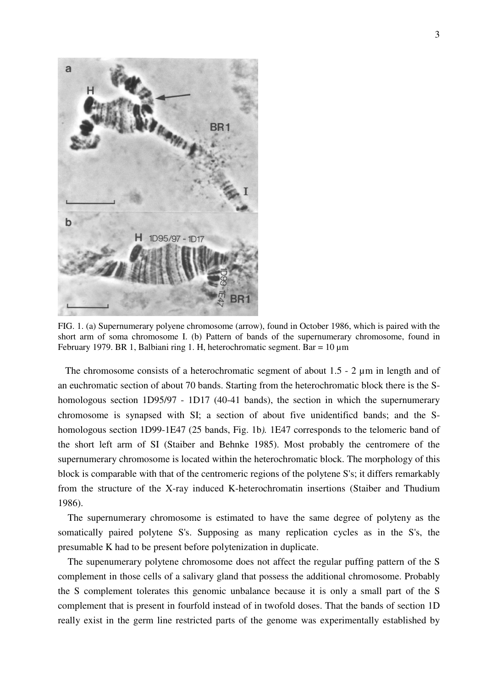

FIG. 1. (a) Supernumerary polyene chromosome (arrow), found in October 1986, which is paired with the short arm of soma chromosome I. (b) Pattern of bands of the supernumerary chromosome, found in February 1979. BR 1, Balbiani ring 1. H, heterochromatic segment. Bar = 10 µm

The chromosome consists of a heterochromatic segment of about 1.5 - 2  $\mu$ m in length and of an euchromatic section of about 70 bands. Starting from the heterochromatic block there is the Shomologous section 1D95/97 - 1D17 (40-41 bands), the section in which the supernumerary chromosome is synapsed with SI; a section of about five unidentificd bands; and the Shomologous section 1D99-1E47 (25 bands, Fig. 1b*).* 1E47 corresponds to the telomeric band of the short left arm of SI (Staiber and Behnke 1985). Most probably the centromere of the supernumerary chromosome is located within the heterochromatic block. The morphology of this block is comparable with that of the centromeric regions of the polytene S's; it differs remarkably from the structure of the X-ray induced K-heterochromatin insertions (Staiber and Thudium 1986).

 The supernumerary chromosome is estimated to have the same degree of polyteny as the somatically paired polytene S's. Supposing as many replication cycles as in the S's, the presumable K had to be present before polytenization in duplicate.

 The supenumerary polytene chromosome does not affect the regular puffing pattern of the S complement in those cells of a salivary gland that possess the additional chromosome. Probably the S complement tolerates this genomic unbalance because it is only a small part of the S complement that is present in fourfold instead of in twofold doses. That the bands of section 1D really exist in the germ line restricted parts of the genome was experimentally established by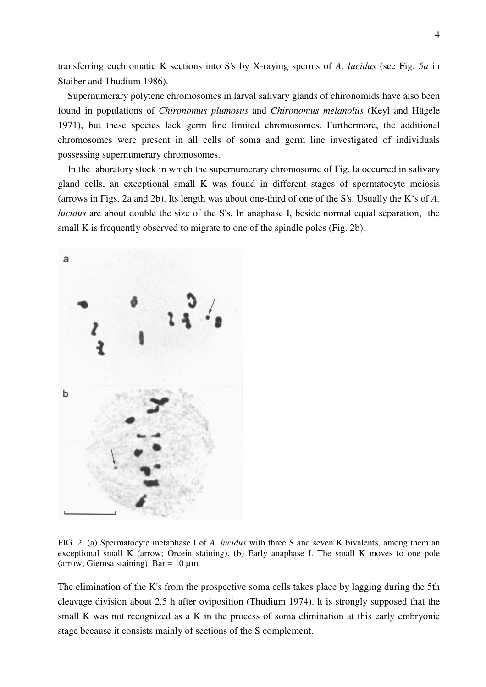transferring euchromatic K sections into S's by X-raying sperms of *A. lucidus* (see Fig. *5a* in Staiber and Thudium 1986).

 Supernumerary polytene chromosomes in larval salivary glands of chironomids have also been found in populations of *Chironomus plumosus* and *Chironomus melanolus* (Keyl and Hägele 1971), but these species lack germ line limited chromosomes. Furthermore, the additional chromosomes were present in all cells of soma and germ line investigated of individuals possessing supernumerary chromosomes.

 In the laboratory stock in which the supernumerary chromosome of Fig. la occurred in salivary gland cells, an exceptional small K was found in different stages of spermatocyte meiosis (arrows in Figs. 2a and 2b). Its length was about one-third of one of the S's. Usually the K's of *A. lucidus* are about double the size of the S's. In anaphase I, beside normal equal separation, the small K is frequently observed to migrate to one of the spindle poles (Fig. 2b).



FIG. 2. (a) Spermatocyte metaphase I of *A. lucidus* with three S and seven K bivalents, among them an exceptional small K (arrow; Orcein staining). (b) Early anaphase I. The small K moves to one pole (arrow; Giemsa staining). Bar =  $10 \mu$ m.

The elimination of the K's from the prospective soma cells takes place by lagging during the 5th cleavage division about 2.5 h after oviposition (Thudium 1974). lt is strongly supposed that the small K was not recognized as a K in the process of soma elimination at this early embryonic stage because it consists mainly of sections of the S complement.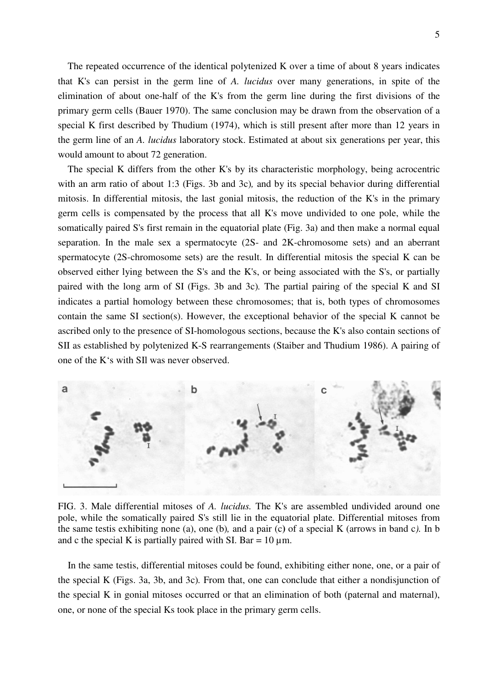The repeated occurrence of the identical polytenized K over a time of about 8 years indicates that K's can persist in the germ line of *A. lucidus* over many generations, in spite of the elimination of about one-half of the K's from the germ line during the first divisions of the primary germ cells (Bauer 1970). The same conclusion may be drawn from the observation of a special K first described by Thudium (1974), which is still present after more than 12 years in the germ line of an *A. lucidus* laboratory stock. Estimated at about six generations per year, this would amount to about 72 generation.

 The special K differs from the other K's by its characteristic morphology, being acrocentric with an arm ratio of about 1:3 (Figs. 3b and 3c)*,* and by its special behavior during differential mitosis. In differential mitosis, the last gonial mitosis, the reduction of the K's in the primary germ cells is compensated by the process that all K's move undivided to one pole, while the somatically paired S's first remain in the equatorial plate (Fig. 3a) and then make a normal equal separation. In the male sex a spermatocyte (2S- and 2K-chromosome sets) and an aberrant spermatocyte (2S-chromosome sets) are the result. In differential mitosis the special K can be observed either lying between the S's and the K's, or being associated with the S's, or partially paired with the long arm of SI (Figs. 3b and 3c)*.* The partial pairing of the special K and SI indicates a partial homology between these chromosomes; that is, both types of chromosomes contain the same SI section(s). However, the exceptional behavior of the special K cannot be ascribed only to the presence of SI-homologous sections, because the K's also contain sections of SII as established by polytenized K-S rearrangements (Staiber and Thudium 1986). A pairing of one of the K's with SIl was never observed.



FIG. 3. Male differential mitoses of *A. lucidus.* The K's are assembled undivided around one pole, while the somatically paired S's still lie in the equatorial plate. Differential mitoses from the same testis exhibiting none (a), one (b)*,* and a pair (c**)** of a special K (arrows in band c*).* In b and c the special K is partially paired with SI. Bar =  $10 \mu$ m.

 In the same testis, differential mitoses could be found, exhibiting either none, one, or a pair of the special K (Figs. 3a, 3b, and 3c)*.* From that, one can conclude that either a nondisjunction of the special K in gonial mitoses occurred or that an elimination of both (paternal and maternal), one, or none of the special Ks took place in the primary germ cells.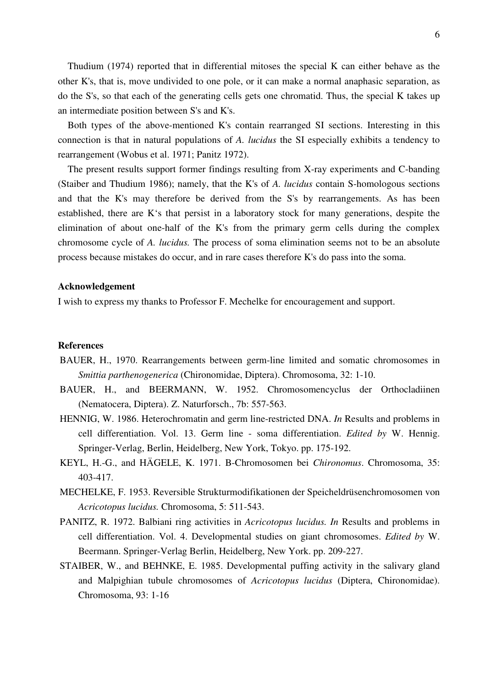Thudium (1974) reported that in differential mitoses the special K can either behave as the other K's, that is, move undivided to one pole, or it can make a normal anaphasic separation, as do the S's, so that each of the generating cells gets one chromatid. Thus, the special K takes up an intermediate position between S's and K's.

 Both types of the above-mentioned K's contain rearranged SI sections. Interesting in this connection is that in natural populations of *A. lucidus* the SI especially exhibits a tendency to rearrangement (Wobus et al. 1971; Panitz 1972).

 The present results support former findings resulting from X-ray experiments and C-banding (Staiber and Thudium 1986); namely, that the K's of *A. lucidus* contain S-homologous sections and that the K's may therefore be derived from the S's by rearrangements. As has been established, there are K's that persist in a laboratory stock for many generations, despite the elimination of about one-half of the K's from the primary germ cells during the complex chromosome cycle of *A. lucidus.* The process of soma elimination seems not to be an absolute process because mistakes do occur, and in rare cases therefore K's do pass into the soma.

#### **Acknowledgement**

I wish to express my thanks to Professor F. Mechelke for encouragement and support.

#### **References**

- BAUER, H., 1970. Rearrangements between germ-line limited and somatic chromosomes in *Smittia parthenogenerica* (Chironomidae, Diptera). Chromosoma, 32: 1-10.
- BAUER, H., and BEERMANN, W. 1952. Chromosomencyclus der Orthocladiinen (Nematocera, Diptera). Z. Naturforsch., 7b: 557-563.
- HENNIG, W. 1986. Heterochromatin and germ line-restricted DNA. *In* Results and problems in cell differentiation. Vol. 13. Germ line - soma differentiation. *Edited by* W. Hennig. Springer-Verlag, Berlin, Heidelberg, New York, Tokyo. pp. 175-192.
- KEYL, H.-G., and HÄGELE, K. 1971. B-Chromosomen bei *Chironomus*. Chromosoma, 35: 403-417.
- MECHELKE, F. 1953. Reversible Strukturmodifikationen der Speicheldrüsenchromosomen von *Acricotopus lucidus.* Chromosoma, 5: 511-543.
- PANITZ, R. 1972. Balbiani ring activities in *Acricotopus lucidus. In* Results and problems in cell differentiation. Vol. 4. Developmental studies on giant chromosomes. *Edited by* W. Beermann. Springer-Verlag Berlin, Heidelberg, New York. pp. 209-227.
- STAIBER, W., and BEHNKE, E. 1985. Developmental puffing activity in the salivary gland and Malpighian tubule chromosomes of *Acricotopus lucidus* (Diptera, Chironomidae). Chromosoma, 93: 1-16